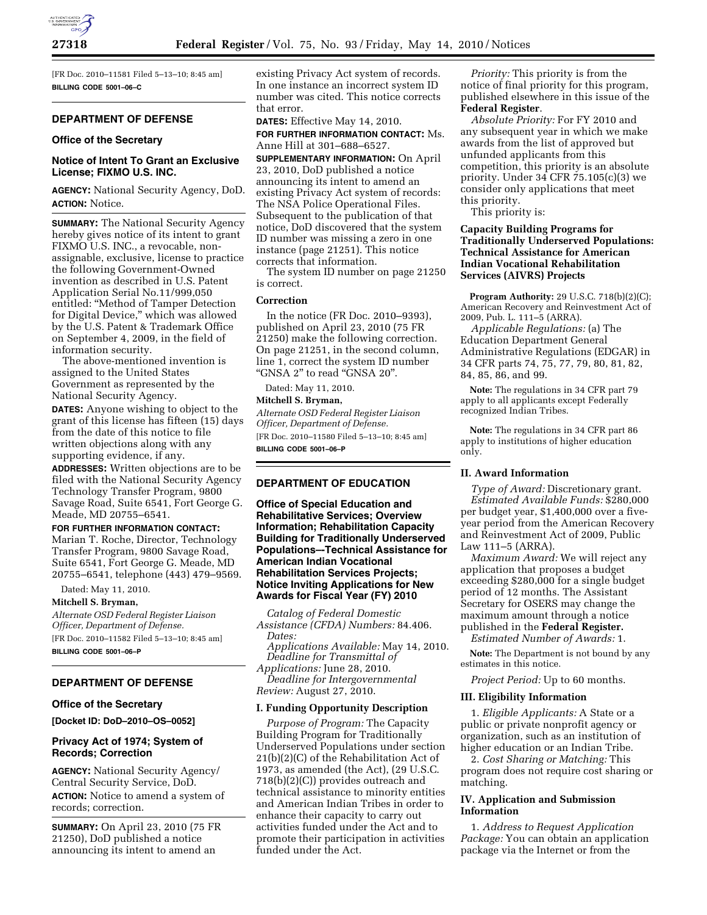[FR Doc. 2010–11581 Filed 5–13–10; 8:45 am] **BILLING CODE 5001–06–C** 

## **DEPARTMENT OF DEFENSE**

### **Office of the Secretary**

## **Notice of Intent To Grant an Exclusive License; FIXMO U.S. INC.**

**AGENCY:** National Security Agency, DoD. **ACTION:** Notice.

**SUMMARY:** The National Security Agency hereby gives notice of its intent to grant FIXMO U.S. INC., a revocable, nonassignable, exclusive, license to practice the following Government-Owned invention as described in U.S. Patent Application Serial No.11/999,050 entitled: ''Method of Tamper Detection for Digital Device,'' which was allowed by the U.S. Patent & Trademark Office on September 4, 2009, in the field of information security.

The above-mentioned invention is assigned to the United States Government as represented by the National Security Agency.

**DATES:** Anyone wishing to object to the grant of this license has fifteen (15) days from the date of this notice to file written objections along with any supporting evidence, if any.

**ADDRESSES:** Written objections are to be filed with the National Security Agency Technology Transfer Program, 9800 Savage Road, Suite 6541, Fort George G. Meade, MD 20755–6541.

## **FOR FURTHER INFORMATION CONTACT:**

Marian T. Roche, Director, Technology Transfer Program, 9800 Savage Road, Suite 6541, Fort George G. Meade, MD 20755–6541, telephone (443) 479–9569.

Dated: May 11, 2010.

**Mitchell S. Bryman,**  *Alternate OSD Federal Register Liaison Officer, Department of Defense.*  [FR Doc. 2010–11582 Filed 5–13–10; 8:45 am] **BILLING CODE 5001–06–P** 

#### **DEPARTMENT OF DEFENSE**

### **Office of the Secretary**

**[Docket ID: DoD–2010–OS–0052]** 

### **Privacy Act of 1974; System of Records; Correction**

**AGENCY:** National Security Agency/ Central Security Service, DoD. **ACTION:** Notice to amend a system of records; correction.

**SUMMARY:** On April 23, 2010 (75 FR 21250), DoD published a notice announcing its intent to amend an

existing Privacy Act system of records. In one instance an incorrect system ID number was cited. This notice corrects that error.

**DATES:** Effective May 14, 2010. **FOR FURTHER INFORMATION CONTACT:** Ms. Anne Hill at 301–688–6527.

**SUPPLEMENTARY INFORMATION:** On April 23, 2010, DoD published a notice announcing its intent to amend an existing Privacy Act system of records: The NSA Police Operational Files. Subsequent to the publication of that notice, DoD discovered that the system ID number was missing a zero in one instance (page 21251). This notice corrects that information.

The system ID number on page 21250 is correct.

#### **Correction**

In the notice (FR Doc. 2010–9393), published on April 23, 2010 (75 FR 21250) make the following correction. On page 21251, in the second column, line 1, correct the system ID number ''GNSA 2'' to read ''GNSA 20''.

Dated: May 11, 2010.

## **Mitchell S. Bryman,**

*Alternate OSD Federal Register Liaison Officer, Department of Defense.*  [FR Doc. 2010–11580 Filed 5–13–10; 8:45 am] **BILLING CODE 5001–06–P** 

# **DEPARTMENT OF EDUCATION**

**Office of Special Education and Rehabilitative Services; Overview Information; Rehabilitation Capacity Building for Traditionally Underserved Populations–-Technical Assistance for American Indian Vocational Rehabilitation Services Projects; Notice Inviting Applications for New Awards for Fiscal Year (FY) 2010** 

*Catalog of Federal Domestic Assistance (CFDA) Numbers:* 84.406. *Dates:* 

*Applications Available:* May 14, 2010. *Deadline for Transmittal of* 

*Applications:* June 28, 2010. *Deadline for Intergovernmental Review:* August 27, 2010.

# **I. Funding Opportunity Description**

*Purpose of Program:* The Capacity Building Program for Traditionally Underserved Populations under section 21(b)(2)(C) of the Rehabilitation Act of 1973, as amended (the Act), (29 U.S.C. 718(b)(2)(C)) provides outreach and technical assistance to minority entities and American Indian Tribes in order to enhance their capacity to carry out activities funded under the Act and to promote their participation in activities funded under the Act.

*Priority:* This priority is from the notice of final priority for this program, published elsewhere in this issue of the **Federal Register**.

*Absolute Priority:* For FY 2010 and any subsequent year in which we make awards from the list of approved but unfunded applicants from this competition, this priority is an absolute priority. Under 34 CFR 75.105(c)(3) we consider only applications that meet this priority.

This priority is:

## **Capacity Building Programs for Traditionally Underserved Populations: Technical Assistance for American Indian Vocational Rehabilitation Services (AIVRS) Projects**

**Program Authority:** 29 U.S.C. 718(b)(2)(C); American Recovery and Reinvestment Act of 2009, Pub. L. 111–5 (ARRA).

*Applicable Regulations:* (a) The Education Department General Administrative Regulations (EDGAR) in 34 CFR parts 74, 75, 77, 79, 80, 81, 82, 84, 85, 86, and 99.

**Note:** The regulations in 34 CFR part 79 apply to all applicants except Federally recognized Indian Tribes.

**Note:** The regulations in 34 CFR part 86 apply to institutions of higher education only.

### **II. Award Information**

*Type of Award:* Discretionary grant. *Estimated Available Funds:* \$280,000 per budget year, \$1,400,000 over a fiveyear period from the American Recovery and Reinvestment Act of 2009, Public Law 111–5 (ARRA).

*Maximum Award:* We will reject any application that proposes a budget exceeding \$280,000 for a single budget period of 12 months. The Assistant Secretary for OSERS may change the maximum amount through a notice published in the **Federal Register.** 

*Estimated Number of Awards:* 1.

**Note:** The Department is not bound by any estimates in this notice.

*Project Period:* Up to 60 months.

#### **III. Eligibility Information**

1. *Eligible Applicants:* A State or a public or private nonprofit agency or organization, such as an institution of higher education or an Indian Tribe.

2. *Cost Sharing or Matching:* This program does not require cost sharing or matching.

## **IV. Application and Submission Information**

1. *Address to Request Application Package:* You can obtain an application package via the Internet or from the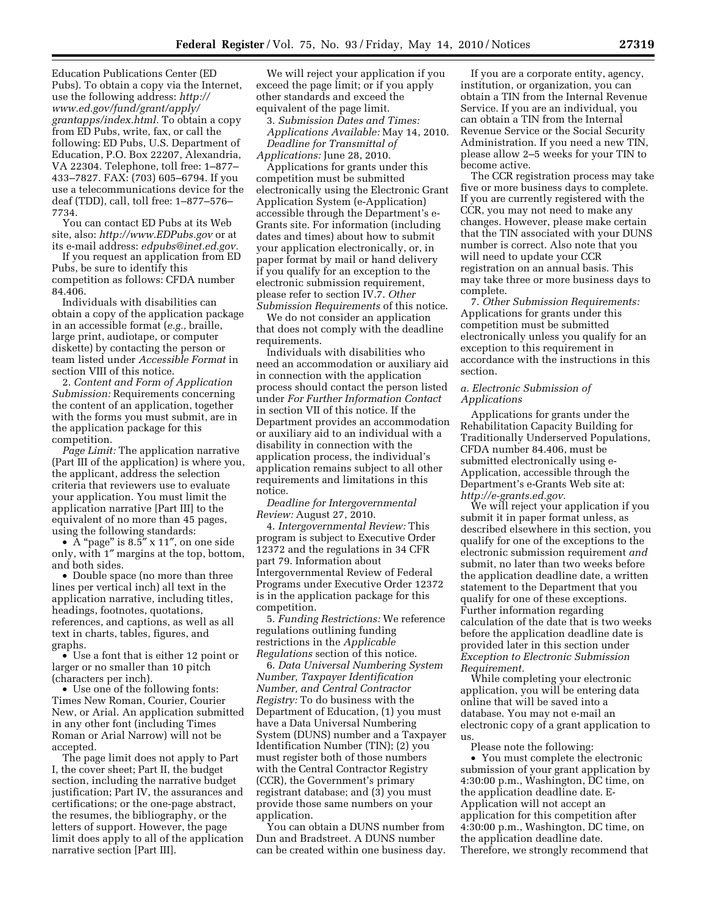Education Publications Center (ED Pubs). To obtain a copy via the Internet, use the following address: *http:// www.ed.gov/fund/grant/apply/ grantapps/index.html.* To obtain a copy from ED Pubs, write, fax, or call the following: ED Pubs, U.S. Department of Education, P.O. Box 22207, Alexandria, VA 22304. Telephone, toll free: 1–877– 433–7827. FAX: (703) 605–6794. If you use a telecommunications device for the deaf (TDD), call, toll free: 1–877–576– 7734.

You can contact ED Pubs at its Web site, also: *http://www.EDPubs.gov* or at its e-mail address: *edpubs@inet.ed.gov.* 

If you request an application from ED Pubs, be sure to identify this competition as follows: CFDA number 84.406.

Individuals with disabilities can obtain a copy of the application package in an accessible format (*e.g.,* braille, large print, audiotape, or computer diskette) by contacting the person or team listed under *Accessible Format* in section VIII of this notice.

2. *Content and Form of Application Submission:* Requirements concerning the content of an application, together with the forms you must submit, are in the application package for this competition.

*Page Limit:* The application narrative (Part III of the application) is where you, the applicant, address the selection criteria that reviewers use to evaluate your application. You must limit the application narrative [Part III] to the equivalent of no more than 45 pages, using the following standards:

•  $A$  "page" is 8.5" x 11", on one side only, with 1″ margins at the top, bottom, and both sides.

• Double space (no more than three lines per vertical inch) all text in the application narrative, including titles, headings, footnotes, quotations, references, and captions, as well as all text in charts, tables, figures, and graphs.

• Use a font that is either 12 point or larger or no smaller than 10 pitch (characters per inch).

• Use one of the following fonts: Times New Roman, Courier, Courier New, or Arial. An application submitted in any other font (including Times Roman or Arial Narrow) will not be accepted.

The page limit does not apply to Part I, the cover sheet; Part II, the budget section, including the narrative budget justification; Part IV, the assurances and certifications; or the one-page abstract, the resumes, the bibliography, or the letters of support. However, the page limit does apply to all of the application narrative section [Part III].

We will reject your application if you exceed the page limit; or if you apply other standards and exceed the equivalent of the page limit.

3. *Submission Dates and Times: Applications Available:* May 14, 2010. *Deadline for Transmittal of Applications:* June 28, 2010.

Applications for grants under this competition must be submitted electronically using the Electronic Grant Application System (e-Application) accessible through the Department's e-Grants site. For information (including dates and times) about how to submit your application electronically, or, in paper format by mail or hand delivery if you qualify for an exception to the electronic submission requirement, please refer to section IV.7. *Other Submission Requirements* of this notice.

We do not consider an application that does not comply with the deadline requirements.

Individuals with disabilities who need an accommodation or auxiliary aid in connection with the application process should contact the person listed under *For Further Information Contact*  in section VII of this notice. If the Department provides an accommodation or auxiliary aid to an individual with a disability in connection with the application process, the individual's application remains subject to all other requirements and limitations in this notice.

*Deadline for Intergovernmental Review:* August 27, 2010.

4. *Intergovernmental Review:* This program is subject to Executive Order 12372 and the regulations in 34 CFR part 79. Information about Intergovernmental Review of Federal Programs under Executive Order 12372 is in the application package for this competition.

5. *Funding Restrictions:* We reference regulations outlining funding restrictions in the *Applicable Regulations* section of this notice.

6. *Data Universal Numbering System Number, Taxpayer Identification Number, and Central Contractor Registry:* To do business with the Department of Education, (1) you must have a Data Universal Numbering System (DUNS) number and a Taxpayer Identification Number (TIN); (2) you must register both of those numbers with the Central Contractor Registry (CCR), the Government's primary registrant database; and (3) you must provide those same numbers on your application.

You can obtain a DUNS number from Dun and Bradstreet. A DUNS number can be created within one business day.

If you are a corporate entity, agency, institution, or organization, you can obtain a TIN from the Internal Revenue Service. If you are an individual, you can obtain a TIN from the Internal Revenue Service or the Social Security Administration. If you need a new TIN, please allow 2–5 weeks for your TIN to become active.

The CCR registration process may take five or more business days to complete. If you are currently registered with the CCR, you may not need to make any changes. However, please make certain that the TIN associated with your DUNS number is correct. Also note that you will need to update your CCR registration on an annual basis. This may take three or more business days to complete.

7. *Other Submission Requirements:*  Applications for grants under this competition must be submitted electronically unless you qualify for an exception to this requirement in accordance with the instructions in this section.

### *a. Electronic Submission of Applications*

Applications for grants under the Rehabilitation Capacity Building for Traditionally Underserved Populations, CFDA number 84.406, must be submitted electronically using e-Application, accessible through the Department's e-Grants Web site at: *http://e-grants.ed.gov.* 

We will reject your application if you submit it in paper format unless, as described elsewhere in this section, you qualify for one of the exceptions to the electronic submission requirement *and*  submit, no later than two weeks before the application deadline date, a written statement to the Department that you qualify for one of these exceptions. Further information regarding calculation of the date that is two weeks before the application deadline date is provided later in this section under *Exception to Electronic Submission Requirement.* 

While completing your electronic application, you will be entering data online that will be saved into a database. You may not e-mail an electronic copy of a grant application to us.

Please note the following:

• You must complete the electronic submission of your grant application by 4:30:00 p.m., Washington, DC time, on the application deadline date. E-Application will not accept an application for this competition after 4:30:00 p.m., Washington, DC time, on the application deadline date. Therefore, we strongly recommend that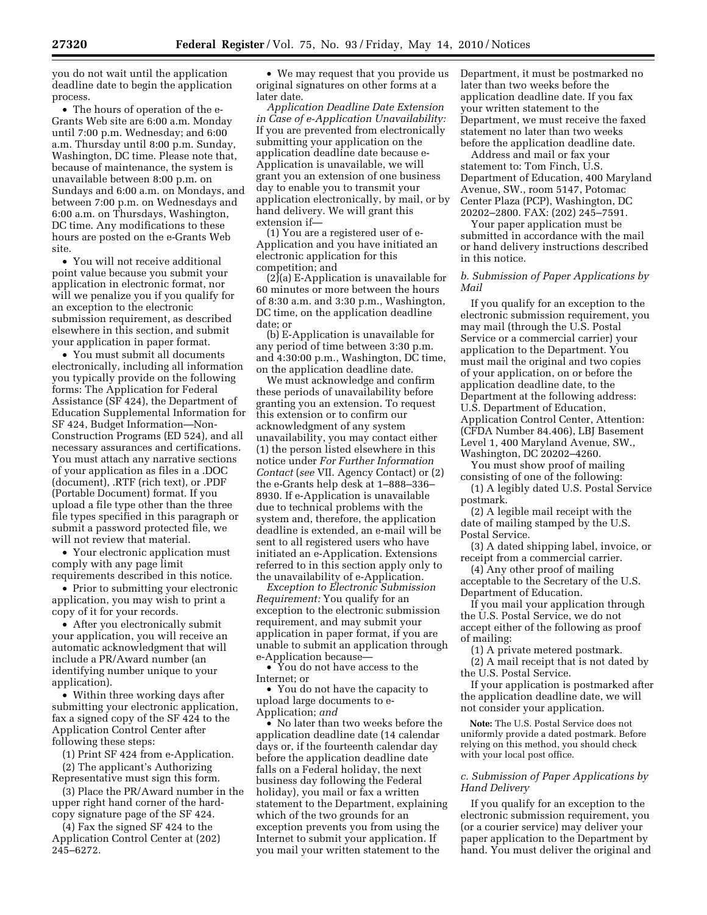you do not wait until the application deadline date to begin the application process.

• The hours of operation of the e-Grants Web site are 6:00 a.m. Monday until 7:00 p.m. Wednesday; and 6:00 a.m. Thursday until 8:00 p.m. Sunday, Washington, DC time. Please note that, because of maintenance, the system is unavailable between 8:00 p.m. on Sundays and 6:00 a.m. on Mondays, and between 7:00 p.m. on Wednesdays and 6:00 a.m. on Thursdays, Washington, DC time. Any modifications to these hours are posted on the e-Grants Web site.

• You will not receive additional point value because you submit your application in electronic format, nor will we penalize you if you qualify for an exception to the electronic submission requirement, as described elsewhere in this section, and submit your application in paper format.

• You must submit all documents electronically, including all information you typically provide on the following forms: The Application for Federal Assistance (SF 424), the Department of Education Supplemental Information for SF 424, Budget Information—Non-Construction Programs (ED 524), and all necessary assurances and certifications. You must attach any narrative sections of your application as files in a .DOC (document), .RTF (rich text), or .PDF (Portable Document) format. If you upload a file type other than the three file types specified in this paragraph or submit a password protected file, we will not review that material.

• Your electronic application must comply with any page limit requirements described in this notice.

• Prior to submitting your electronic application, you may wish to print a copy of it for your records.

• After you electronically submit your application, you will receive an automatic acknowledgment that will include a PR/Award number (an identifying number unique to your application).

• Within three working days after submitting your electronic application, fax a signed copy of the SF 424 to the Application Control Center after following these steps:

(1) Print SF 424 from e-Application. (2) The applicant's Authorizing

Representative must sign this form. (3) Place the PR/Award number in the

upper right hand corner of the hardcopy signature page of the SF 424.

(4) Fax the signed SF 424 to the Application Control Center at (202) 245–6272.

• We may request that you provide us original signatures on other forms at a later date.

*Application Deadline Date Extension in Case of e-Application Unavailability:*  If you are prevented from electronically submitting your application on the application deadline date because e-Application is unavailable, we will grant you an extension of one business day to enable you to transmit your application electronically, by mail, or by hand delivery. We will grant this extension if—

(1) You are a registered user of e-Application and you have initiated an electronic application for this competition; and

(2)(a) E-Application is unavailable for 60 minutes or more between the hours of 8:30 a.m. and 3:30 p.m., Washington, DC time, on the application deadline date; or

(b) E-Application is unavailable for any period of time between 3:30 p.m. and 4:30:00 p.m., Washington, DC time, on the application deadline date.

We must acknowledge and confirm these periods of unavailability before granting you an extension. To request this extension or to confirm our acknowledgment of any system unavailability, you may contact either (1) the person listed elsewhere in this notice under *For Further Information Contact* (*see* VII. Agency Contact) or (2) the e-Grants help desk at 1–888–336– 8930. If e-Application is unavailable due to technical problems with the system and, therefore, the application deadline is extended, an e-mail will be sent to all registered users who have initiated an e-Application. Extensions referred to in this section apply only to the unavailability of e-Application.

*Exception to Electronic Submission Requirement:* You qualify for an exception to the electronic submission requirement, and may submit your application in paper format, if you are unable to submit an application through e-Application because—

• You do not have access to the Internet; or

• You do not have the capacity to upload large documents to e-Application; *and* 

• No later than two weeks before the application deadline date (14 calendar days or, if the fourteenth calendar day before the application deadline date falls on a Federal holiday, the next business day following the Federal holiday), you mail or fax a written statement to the Department, explaining which of the two grounds for an exception prevents you from using the Internet to submit your application. If you mail your written statement to the

Department, it must be postmarked no later than two weeks before the application deadline date. If you fax your written statement to the Department, we must receive the faxed statement no later than two weeks before the application deadline date.

Address and mail or fax your statement to: Tom Finch, U.S. Department of Education, 400 Maryland Avenue, SW., room 5147, Potomac Center Plaza (PCP), Washington, DC 20202–2800. FAX: (202) 245–7591.

Your paper application must be submitted in accordance with the mail or hand delivery instructions described in this notice.

### *b. Submission of Paper Applications by Mail*

If you qualify for an exception to the electronic submission requirement, you may mail (through the U.S. Postal Service or a commercial carrier) your application to the Department. You must mail the original and two copies of your application, on or before the application deadline date, to the Department at the following address: U.S. Department of Education, Application Control Center, Attention: (CFDA Number 84.406), LBJ Basement Level 1, 400 Maryland Avenue, SW., Washington, DC 20202–4260.

You must show proof of mailing consisting of one of the following:

(1) A legibly dated U.S. Postal Service postmark.

(2) A legible mail receipt with the date of mailing stamped by the U.S. Postal Service.

(3) A dated shipping label, invoice, or receipt from a commercial carrier.

(4) Any other proof of mailing acceptable to the Secretary of the U.S. Department of Education.

If you mail your application through the U.S. Postal Service, we do not accept either of the following as proof of mailing:

(1) A private metered postmark.

(2) A mail receipt that is not dated by the U.S. Postal Service.

If your application is postmarked after the application deadline date, we will not consider your application.

**Note:** The U.S. Postal Service does not uniformly provide a dated postmark. Before relying on this method, you should check with your local post office.

## *c. Submission of Paper Applications by Hand Delivery*

If you qualify for an exception to the electronic submission requirement, you (or a courier service) may deliver your paper application to the Department by hand. You must deliver the original and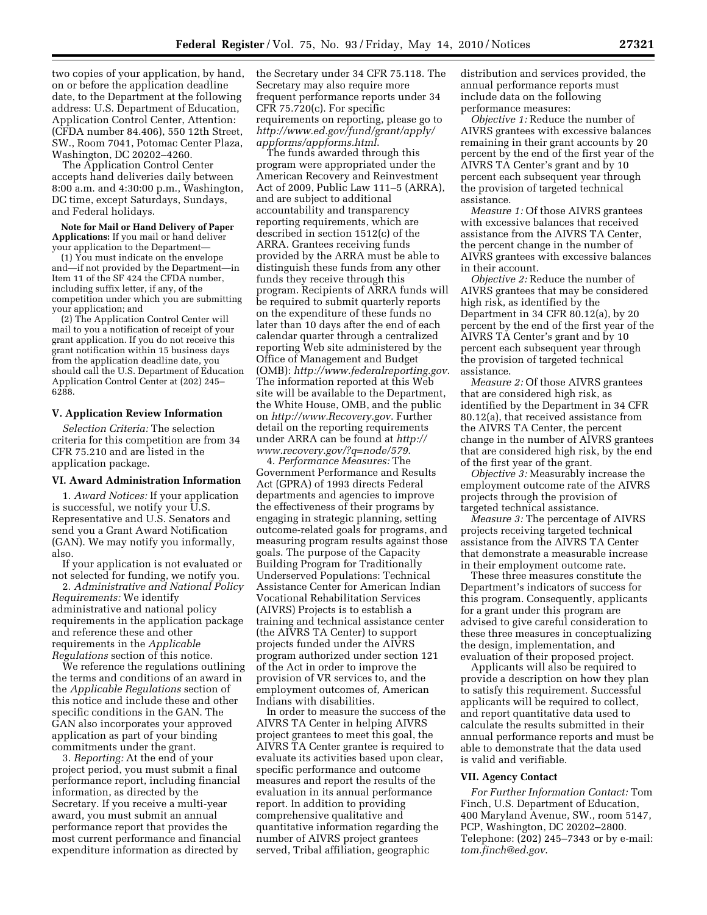two copies of your application, by hand, on or before the application deadline date, to the Department at the following address: U.S. Department of Education, Application Control Center, Attention: (CFDA number 84.406), 550 12th Street, SW., Room 7041, Potomac Center Plaza, Washington, DC 20202–4260.

The Application Control Center accepts hand deliveries daily between 8:00 a.m. and 4:30:00 p.m., Washington, DC time, except Saturdays, Sundays, and Federal holidays.

**Note for Mail or Hand Delivery of Paper Applications:** If you mail or hand deliver your application to the Department—

(1) You must indicate on the envelope and—if not provided by the Department—in Item 11 of the SF 424 the CFDA number, including suffix letter, if any, of the competition under which you are submitting your application; and

(2) The Application Control Center will mail to you a notification of receipt of your grant application. If you do not receive this grant notification within 15 business days from the application deadline date, you should call the U.S. Department of Education Application Control Center at (202) 245– 6288.

#### **V. Application Review Information**

*Selection Criteria:* The selection criteria for this competition are from 34 CFR 75.210 and are listed in the application package.

#### **VI. Award Administration Information**

1. *Award Notices:* If your application is successful, we notify your U.S. Representative and U.S. Senators and send you a Grant Award Notification (GAN). We may notify you informally, also.

If your application is not evaluated or not selected for funding, we notify you.

2. *Administrative and National Policy Requirements:* We identify administrative and national policy requirements in the application package and reference these and other requirements in the *Applicable Regulations* section of this notice.

We reference the regulations outlining the terms and conditions of an award in the *Applicable Regulations* section of this notice and include these and other specific conditions in the GAN. The GAN also incorporates your approved application as part of your binding commitments under the grant.

3. *Reporting:* At the end of your project period, you must submit a final performance report, including financial information, as directed by the Secretary. If you receive a multi-year award, you must submit an annual performance report that provides the most current performance and financial expenditure information as directed by

the Secretary under 34 CFR 75.118. The Secretary may also require more frequent performance reports under 34 CFR 75.720(c). For specific requirements on reporting, please go to *http://www.ed.gov/fund/grant/apply/ appforms/appforms.html*.

The funds awarded through this program were appropriated under the American Recovery and Reinvestment Act of 2009, Public Law 111–5 (ARRA), and are subject to additional accountability and transparency reporting requirements, which are described in section 1512(c) of the ARRA. Grantees receiving funds provided by the ARRA must be able to distinguish these funds from any other funds they receive through this program. Recipients of ARRA funds will be required to submit quarterly reports on the expenditure of these funds no later than 10 days after the end of each calendar quarter through a centralized reporting Web site administered by the Office of Management and Budget (OMB): *http://www.federalreporting.gov*. The information reported at this Web site will be available to the Department, the White House, OMB, and the public on *http://www.Recovery.gov*. Further detail on the reporting requirements under ARRA can be found at *http:// www.recovery.gov/?q=node/579*.

4. *Performance Measures:* The Government Performance and Results Act (GPRA) of 1993 directs Federal departments and agencies to improve the effectiveness of their programs by engaging in strategic planning, setting outcome-related goals for programs, and measuring program results against those goals. The purpose of the Capacity Building Program for Traditionally Underserved Populations: Technical Assistance Center for American Indian Vocational Rehabilitation Services (AIVRS) Projects is to establish a training and technical assistance center (the AIVRS TA Center) to support projects funded under the AIVRS program authorized under section 121 of the Act in order to improve the provision of VR services to, and the employment outcomes of, American Indians with disabilities.

In order to measure the success of the AIVRS TA Center in helping AIVRS project grantees to meet this goal, the AIVRS TA Center grantee is required to evaluate its activities based upon clear, specific performance and outcome measures and report the results of the evaluation in its annual performance report. In addition to providing comprehensive qualitative and quantitative information regarding the number of AIVRS project grantees served, Tribal affiliation, geographic

distribution and services provided, the annual performance reports must include data on the following performance measures:

*Objective 1:* Reduce the number of AIVRS grantees with excessive balances remaining in their grant accounts by 20 percent by the end of the first year of the AIVRS TA Center's grant and by 10 percent each subsequent year through the provision of targeted technical assistance.

*Measure 1:* Of those AIVRS grantees with excessive balances that received assistance from the AIVRS TA Center, the percent change in the number of AIVRS grantees with excessive balances in their account.

*Objective 2:* Reduce the number of AIVRS grantees that may be considered high risk, as identified by the Department in 34 CFR 80.12(a), by 20 percent by the end of the first year of the AIVRS TA Center's grant and by 10 percent each subsequent year through the provision of targeted technical assistance.

*Measure 2:* Of those AIVRS grantees that are considered high risk, as identified by the Department in 34 CFR 80.12(a), that received assistance from the AIVRS TA Center, the percent change in the number of AIVRS grantees that are considered high risk, by the end of the first year of the grant.

*Objective 3:* Measurably increase the employment outcome rate of the AIVRS projects through the provision of targeted technical assistance.

*Measure 3:* The percentage of AIVRS projects receiving targeted technical assistance from the AIVRS TA Center that demonstrate a measurable increase in their employment outcome rate.

These three measures constitute the Department's indicators of success for this program. Consequently, applicants for a grant under this program are advised to give careful consideration to these three measures in conceptualizing the design, implementation, and evaluation of their proposed project.

Applicants will also be required to provide a description on how they plan to satisfy this requirement. Successful applicants will be required to collect, and report quantitative data used to calculate the results submitted in their annual performance reports and must be able to demonstrate that the data used is valid and verifiable.

### **VII. Agency Contact**

*For Further Information Contact:* Tom Finch, U.S. Department of Education, 400 Maryland Avenue, SW., room 5147, PCP, Washington, DC 20202–2800. Telephone: (202) 245–7343 or by e-mail: *tom.finch@ed.gov*.